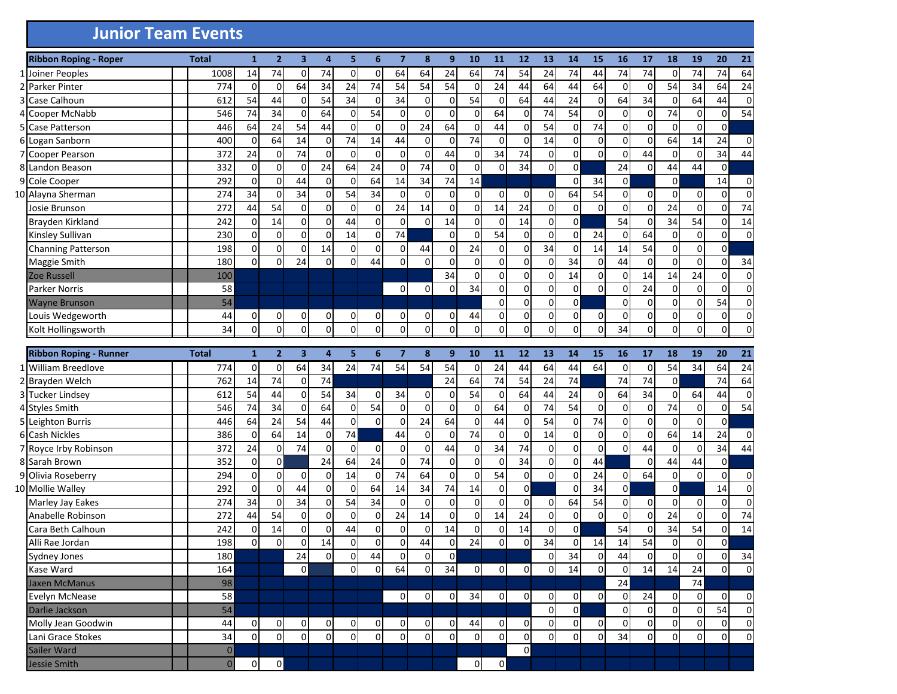## **Junior Team Events**

|   | <b>Ribbon Roping - Roper</b>  | <b>Total</b>   | $\mathbf{1}$   | $\overline{2}$ | 3              | 4              | 5              | 6           | $\overline{7}$ | 8              | 9              | 10             | 11             | 12             | 13             | 14             | 15          | 16             | 17              | 18             | 19          | 20             | 21          |
|---|-------------------------------|----------------|----------------|----------------|----------------|----------------|----------------|-------------|----------------|----------------|----------------|----------------|----------------|----------------|----------------|----------------|-------------|----------------|-----------------|----------------|-------------|----------------|-------------|
|   | 1 Joiner Peoples              | 1008           | 14             | 74             | $\mathbf 0$    | 74             | 0              | $\mathbf 0$ | 64             | 64             | 24             | 64             | 74             | 54             | 24             | 74             | 44          | 74             | $\overline{74}$ | 0              | 74          | 74             | 64          |
|   | 2 Parker Pinter               | 774            | $\mathbf 0$    | $\mathbf 0$    | 64             | 34             | 24             | 74          | 54             | 54             | 54             | $\overline{0}$ | 24             | 44             | 64             | 44             | 64          | $\overline{0}$ | $\mathbf 0$     | 54             | 34          | 64             | 24          |
|   | Case Calhoun                  | 612            | 54             | 44             | $\mathbf 0$    | 54             | 34             | 0           | 34             | 0              | $\overline{0}$ | 54             | $\mathbf 0$    | 64             | 44             | 24             | $\mathbf 0$ | 64             | 34              | 0              | 64          | 44             | 0           |
| 4 | Cooper McNabb                 | 546            | 74             | 34             | $\mathbf 0$    | 64             | 0              | 54          | 0              | 0              | $\overline{0}$ | $\Omega$       | 64             | $\Omega$       | 74             | 54             | $\mathbf 0$ | $\Omega$       | $\mathbf 0$     | 74             | $\mathbf 0$ | 0              | 54          |
| 5 | Case Patterson                | 446            | 64             | 24             | 54             | 44             | 0              | $\Omega$    | 0              | 24             | 64             | $\Omega$       | 44             | $\Omega$       | 54             | 0              | 74          | $\Omega$       | 0               | 0              | 0           | 0              |             |
| 6 | Logan Sanborn                 | 400            | 0              | 64             | 14             | 0              | 74             | 14          | 44             | 0              | 0              | 74             | $\mathbf 0$    | $\Omega$       | 14             | 0              | $\mathbf 0$ | $\Omega$       | $\mathbf 0$     | 64             | 14          | 24             | 0           |
|   | Cooper Pearson                | 372            | 24             | 0              | 74             | 0              | 0              | 0           | $\mathbf 0$    | 0              | 44             | $\Omega$       | 34             | 74             | 0              | 0              | $\mathbf 0$ | $\Omega$       | 44              | 0              | $\mathbf 0$ | 34             | 44          |
|   | Landon Beason                 | 332            | $\mathbf 0$    | $\mathbf 0$    | $\mathbf 0$    | 24             | 64             | 24          | $\mathbf 0$    | 74             | 0              | 0              | $\mathbf 0$    | 34             | 0              | 0              |             | 24             | $\mathbf 0$     | 44             | 44          | 0              |             |
|   | 9 Cole Cooper                 | 292            | $\mathbf 0$    | $\mathbf 0$    | 44             | $\Omega$       | $\Omega$       | 64          | 14             | 34             | 74             | 14             |                |                |                | $\Omega$       | 34          | $\overline{0}$ |                 | 0              |             | 14             | 0           |
|   | 10 Alayna Sherman             | 274            | 34             | 0              | 34             | 0              | 54             | 34          | $\mathbf 0$    | $\mathbf 0$    | $\overline{0}$ | $\Omega$       | $\overline{0}$ | $\Omega$       | 0              | 64             | 54          | $\overline{0}$ | $\mathbf 0$     | 0              | 0           | 0              | 0           |
|   | Josie Brunson                 | 272            | 44             | 54             | 0              | 0              | 0              | $\Omega$    | 24             | 14             | 0              | 0              | 14             | 24             | 0              | 0              | $\Omega$    | $\Omega$       | $\mathbf 0$     | 24             | $\mathbf 0$ | 0              | 74          |
|   | Brayden Kirkland              | 242            | $\mathbf 0$    | 14             | $\mathbf 0$    | 0              | 44             | $\Omega$    | $\mathbf 0$    | $\Omega$       | 14             | $\Omega$       | $\mathbf 0$    | 14             | $\mathbf 0$    | 0              |             | 54             | $\mathbf 0$     | 34             | 54          | 0              | 14          |
|   | Kinsley Sullivan              | 230            | $\mathbf 0$    | 0              | $\mathbf 0$    | $\Omega$       | 14             | $\Omega$    | 74             |                | $\Omega$       | 0              | 54             | $\Omega$       | 0              | 0              | 24          | $\overline{0}$ | 64              | 0              | $\mathbf 0$ | 0              | 0           |
|   | Channing Patterson            | 198            | $\pmb{0}$      | 0              | 0              | 14             | 0              | 0           | 0              | 44             | 0              | 24             | $\overline{0}$ | $\Omega$       | 34             | 0              | 14          | 14             | 54              | 0              | 0           | 0              |             |
|   | Maggie Smith                  | 180            | $\pmb{0}$      | 0              | 24             | $\Omega$       | 0              | 44          | 0              | $\Omega$       | $\overline{0}$ | $\Omega$       | $\mathbf 0$    | $\Omega$       | 0              | 34             | $\mathbf 0$ | 44             | $\mathbf 0$     | $\mathbf 0$    | $\mathbf 0$ | 0              | 34          |
|   | <b>Zoe Russell</b>            | 100            |                |                |                |                |                |             |                |                | 34             | $\Omega$       | $\overline{0}$ | $\Omega$       | $\mathbf 0$    | 14             | $\mathbf 0$ | $\overline{0}$ | 14              | 14             | 24          | 0              | 0           |
|   | Parker Norris                 | 58             |                |                |                |                |                |             | 0              | 0              | $\overline{0}$ | 34             | $\overline{0}$ | $\Omega$       | 0              | 0              | $\mathbf 0$ | 0              | 24              | 0              | $\mathbf 0$ | 0              | 0           |
|   | <b>Wayne Brunson</b>          | 54             |                |                |                |                |                |             |                |                |                |                | $\Omega$       | $\Omega$       | 0              | 0              |             | $\overline{0}$ | $\mathbf 0$     | 0              | 0           | 54             | 0           |
|   | Louis Wedgeworth              | 44             | 0              | $\mathbf 0$    | $\mathbf 0$    | 0              | 0              | 0           | 0              | 0              | $\overline{0}$ | 44             | $\overline{0}$ | $\overline{0}$ | $\mathbf 0$    | 0              | 0           | $\overline{0}$ | $\mathbf 0$     | 0              | 0           | 0              | 0           |
|   | Kolt Hollingsworth            | 34             | $\Omega$       | $\Omega$       | $\mathbf 0$    | $\Omega$       | $\Omega$       | $\Omega$    | $\Omega$       | $\Omega$       | $\Omega$       | $\Omega$       | $\Omega$       | $\Omega$       | 0              | $\Omega$       | 0           | 34             | $\mathbf 0$     | 0              | $\mathbf 0$ | $\overline{0}$ | $\Omega$    |
|   |                               |                |                |                |                |                |                |             |                |                |                |                |                |                |                |                |             |                |                 |                |             |                |             |
|   | <b>Ribbon Roping - Runner</b> | <b>Total</b>   | $\mathbf{1}$   | $\overline{2}$ | 3              | 4              | 5              | 6           | $\overline{7}$ | 8              | 9              | 10             | 11             | 12             | 13             | 14             | 15          | 16             | 17              | 18             | 19          | 20             | 21          |
|   | 1 William Breedlove           | 774            | $\mathbf 0$    | 0              | 64             | 34             | 24             | 74          | 54             | 54             | 54             | $\overline{0}$ | 24             | 44             | 64             | 44             | 64          | $\mathbf 0$    | 0               | 54             | 34          | 64             | 24          |
|   | 2 Brayden Welch               | 762            | 14             | 74             | $\mathbf 0$    | 74             |                |             |                |                | 24             | 64             | 74             | 54             | 24             | $74$           |             | 74             | 74              | $\mathbf 0$    |             | 74             | 64          |
|   | 3 Tucker Lindsey              | 612            | 54             | 44             | $\mathbf 0$    | 54             | 34             | 0           | 34             | 0              | 0              | 54             | 0              | 64             | 44             | 24             | 0           | 64             | 34              | 0              | 64          | 44             | 0           |
|   | 4 Styles Smith                | 546            | 74             | 34             | $\mathbf 0$    | 64             | $\mathbf 0$    | 54          | $\mathbf 0$    | 0              | $\overline{0}$ | $\Omega$       | 64             | $\Omega$       | 74             | 54             | $\pmb{0}$   | $\mathbf 0$    | $\mathbf 0$     | 74             | $\mathbf 0$ | 0              | 54          |
|   | 5 Leighton Burris             | 446            | 64             | 24             | 54             | 44             | $\Omega$       | 0           | $\mathbf 0$    | 24             | 64             | $\Omega$       | 44             | $\Omega$       | 54             | 0              | 74          | $\pmb{0}$      | $\mathbf 0$     | $\mathbf 0$    | $\mathbf 0$ | 0              |             |
|   | 6 Cash Nickles                | 386            | $\mathbf 0$    | 64             | 14             | 0              | 74             |             | 44             | 0              | 0              | 74             | $\mathbf 0$    | $\Omega$       | 14             | 0              | $\mathbf 0$ | $\Omega$       | $\mathbf 0$     | 64             | 14          | 24             | 0           |
|   | 7 Royce Irby Robinson         | 372            | 24             | 0              | 74             | 0              | 0              | 0           | $\mathbf 0$    | 0              | 44             | $\overline{0}$ | 34             | 74             | 0              | 0              | 0           | $\Omega$       | 44              | 0              | $\mathbf 0$ | 34             | 44          |
|   | 8 Sarah Brown                 | 352            | $\mathbf 0$    | $\mathbf 0$    |                | 24             | 64             | 24          | $\mathbf 0$    | 74             | $\overline{0}$ | $\Omega$       | $\mathbf 0$    | 34             | $\mathbf 0$    | $\overline{0}$ | 44          |                | $\mathbf 0$     | 44             | 44          | 0              |             |
|   | 9 Olivia Roseberry            | 294            | $\mathbf 0$    | $\mathbf{0}$   | $\mathbf 0$    | $\Omega$       | 14             | $\Omega$    | 74             | 64             | $\overline{0}$ | $\Omega$       | 54             | $\overline{0}$ | 0              | 0              | 24          | $\overline{0}$ | 64              | 0              | $\Omega$    | 0              | 0           |
|   | 10 Mollie Walley              | 292            | $\mathbf 0$    | $\Omega$       | 44             | 0              | 0              | 64          | 14             | 34             | 74             | 14             | $\overline{0}$ | $\overline{0}$ |                | $\Omega$       | 34          | $\Omega$       |                 | 0              |             | 14             | 0           |
|   | Marley Jay Eakes              | 274            | 34             | 0              | 34             | 0              | 54             | 34          | $\mathbf 0$    | 0              | $\overline{0}$ | $\Omega$       | 0              | $\Omega$       | $\mathbf 0$    | 64             | 54          | $\overline{0}$ | $\mathbf 0$     | 0              | $\mathbf 0$ | 0              | 0           |
|   | Anabelle Robinson             | 272            | 44             | 54             | $\mathbf 0$    | $\Omega$       | $\mathbf 0$    | $\Omega$    | 24             | 14             | $\overline{0}$ | $\Omega$       | 14             | 24             | 0              | 0              | 0           | $\overline{0}$ | $\mathbf 0$     | 24             | 0           | 0              | 74          |
|   | Cara Beth Calhoun             | 242            | $\mathbf 0$    | 14             | $\mathbf 0$    | 0              | 44             | $\Omega$    | 0              | 0              | 14             | 0              | 0              | 14             | $\mathbf 0$    | 0              |             | 54             | $\mathbf 0$     | 34             | 54          | 0              | 14          |
|   | Alli Rae Jordan               | 198            | $\Omega$       | $\mathbf 0$    | $\mathbf 0$    | 14             | 0              | 0           | 0              | 44             | $\overline{0}$ | 24             | $\overline{0}$ | $\overline{0}$ | 34             | 0              | 14          | 14             | 54              | 0              | 0           | 0              |             |
|   | Sydney Jones                  | 180            |                |                | 24             | ΩI             | $\Omega$       | 44          | $\Omega$       | $\Omega$       | ΩI             |                |                |                | $\Omega$       | 34             | $\Omega$    | 44             | $\Omega$        | <sup>0</sup>   | $\Omega$    | $\Omega$       | 34          |
|   | Kase Ward                     | 164            |                |                | $\mathsf{o}$   |                | $\mathsf{O}$   | $\Omega$    | 64             | $\mathsf{O}$   | 34             | $\overline{0}$ | $\circ$        | $\overline{0}$ | $\overline{O}$ | 14             | $\mathbf 0$ | $\overline{0}$ | 14              | 14             | 24          | $\overline{0}$ | $\mathbf 0$ |
|   | Jaxen McManus                 | 98             |                |                |                |                |                |             |                |                |                |                |                |                |                |                |             | 24             |                 |                | 74          |                |             |
|   | Evelyn McNease                | 58             |                |                |                |                |                |             | $\overline{0}$ | $\mathsf{O}$   | $\overline{0}$ | 34             | $\mathbf 0$    | $\overline{0}$ | $\overline{0}$ | $\overline{0}$ | $\mathbf 0$ | $\overline{0}$ | 24              | 0              | $\mathbf 0$ | 0              | 0           |
|   | Darlie Jackson                | 54             |                |                |                |                |                |             |                |                |                |                |                |                | $\mathbf 0$    | $\overline{0}$ |             | $\overline{0}$ | $\overline{0}$  | $\pmb{0}$      | $\mathbf 0$ | 54             | $\mathbf 0$ |
|   | Molly Jean Goodwin            | 44             | $\overline{O}$ | $\overline{0}$ | $\overline{0}$ | $\overline{0}$ | $\overline{0}$ | 0           | 0              | $\overline{0}$ | $\overline{0}$ | 44             | $\Omega$       | 0              | $\overline{O}$ | $\overline{0}$ | $\mathbf 0$ | $\overline{0}$ | $\overline{0}$  | $\pmb{0}$      | $\mathbf 0$ | $\overline{0}$ | $\mathbf 0$ |
|   | Lani Grace Stokes             | 34             | $\overline{0}$ | $\overline{0}$ | $\overline{0}$ | $\overline{0}$ | $\overline{0}$ | $\mathbf 0$ | $\overline{0}$ | $\overline{0}$ | $\overline{O}$ | $\overline{0}$ | $\overline{0}$ | $\overline{0}$ | $\mathbf 0$    | $\overline{0}$ | $\mathbf 0$ | 34             | $\mathbf 0$     | $\overline{0}$ | 0           | $\mathsf{O}$   | $\mathbf 0$ |
|   | Sailer Ward                   | $\overline{0}$ |                |                |                |                |                |             |                |                |                |                |                | $\overline{0}$ |                |                |             |                |                 |                |             |                |             |
|   | <b>Jessie Smith</b>           | $\pmb{0}$      | $\overline{0}$ | $\overline{0}$ |                |                |                |             |                |                |                | οI             | $\overline{0}$ |                |                |                |             |                |                 |                |             |                |             |